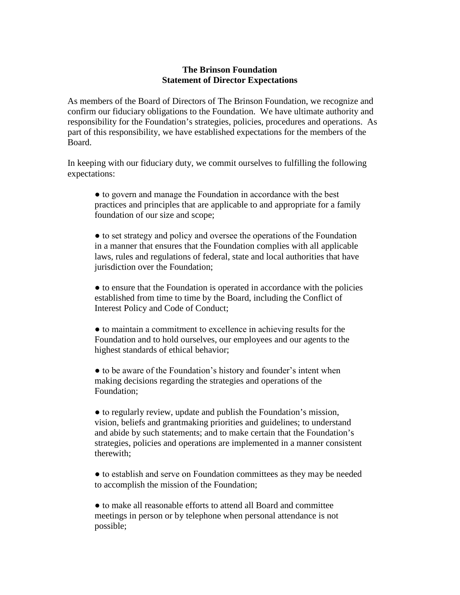## **The Brinson Foundation Statement of Director Expectations**

As members of the Board of Directors of The Brinson Foundation, we recognize and confirm our fiduciary obligations to the Foundation. We have ultimate authority and responsibility for the Foundation's strategies, policies, procedures and operations. As part of this responsibility, we have established expectations for the members of the Board.

In keeping with our fiduciary duty, we commit ourselves to fulfilling the following expectations:

● to govern and manage the Foundation in accordance with the best practices and principles that are applicable to and appropriate for a family foundation of our size and scope;

● to set strategy and policy and oversee the operations of the Foundation in a manner that ensures that the Foundation complies with all applicable laws, rules and regulations of federal, state and local authorities that have jurisdiction over the Foundation;

● to ensure that the Foundation is operated in accordance with the policies established from time to time by the Board, including the Conflict of Interest Policy and Code of Conduct;

● to maintain a commitment to excellence in achieving results for the Foundation and to hold ourselves, our employees and our agents to the highest standards of ethical behavior;

• to be aware of the Foundation's history and founder's intent when making decisions regarding the strategies and operations of the Foundation;

● to regularly review, update and publish the Foundation's mission, vision, beliefs and grantmaking priorities and guidelines; to understand and abide by such statements; and to make certain that the Foundation's strategies, policies and operations are implemented in a manner consistent therewith;

● to establish and serve on Foundation committees as they may be needed to accomplish the mission of the Foundation;

● to make all reasonable efforts to attend all Board and committee meetings in person or by telephone when personal attendance is not possible;